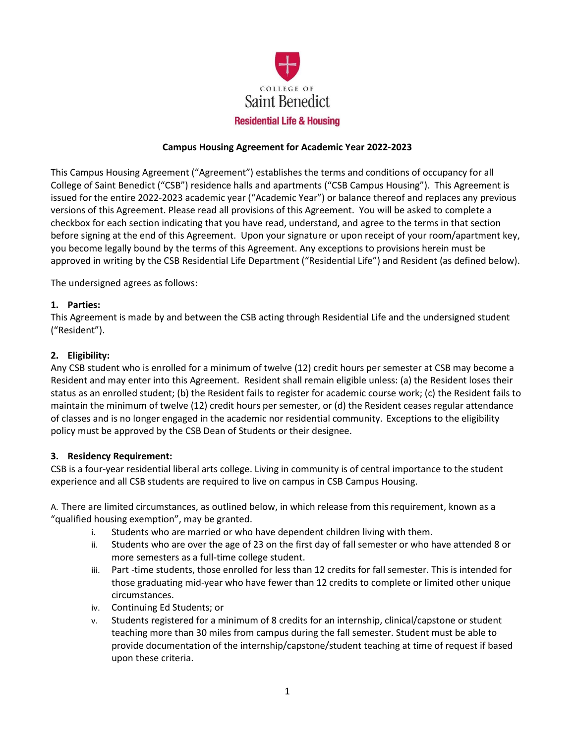

### **Campus Housing Agreement for Academic Year 2022-2023**

This Campus Housing Agreement ("Agreement") establishes the terms and conditions of occupancy for all College of Saint Benedict ("CSB") residence halls and apartments ("CSB Campus Housing"). This Agreement is issued for the entire 2022-2023 academic year ("Academic Year") or balance thereof and replaces any previous versions of this Agreement. Please read all provisions of this Agreement. You will be asked to complete a checkbox for each section indicating that you have read, understand, and agree to the terms in that section before signing at the end of this Agreement. Upon your signature or upon receipt of your room/apartment key, you become legally bound by the terms of this Agreement. Any exceptions to provisions herein must be approved in writing by the CSB Residential Life Department ("Residential Life") and Resident (as defined below).

The undersigned agrees as follows:

#### **1. Parties:**

This Agreement is made by and between the CSB acting through Residential Life and the undersigned student ("Resident").

### **2. Eligibility:**

Any CSB student who is enrolled for a minimum of twelve (12) credit hours per semester at CSB may become a Resident and may enter into this Agreement. Resident shall remain eligible unless: (a) the Resident loses their status as an enrolled student; (b) the Resident fails to register for academic course work; (c) the Resident fails to maintain the minimum of twelve (12) credit hours per semester, or (d) the Resident ceases regular attendance of classes and is no longer engaged in the academic nor residential community. Exceptions to the eligibility policy must be approved by the CSB Dean of Students or their designee.

#### **3. Residency Requirement:**

CSB is a four-year residential liberal arts college. Living in community is of central importance to the student experience and all CSB students are required to live on campus in CSB Campus Housing.

A. There are limited circumstances, as outlined below, in which release from this requirement, known as a "qualified housing exemption", may be granted.

- i. Students who are married or who have dependent children living with them.
- ii. Students who are over the age of 23 on the first day of fall semester or who have attended 8 or more semesters as a full-time college student.
- iii. Part -time students, those enrolled for less than 12 credits for fall semester. This is intended for those graduating mid-year who have fewer than 12 credits to complete or limited other unique circumstances.
- iv. Continuing Ed Students; or
- v. Students registered for a minimum of 8 credits for an internship, clinical/capstone or student teaching more than 30 miles from campus during the fall semester. Student must be able to provide documentation of the internship/capstone/student teaching at time of request if based upon these criteria.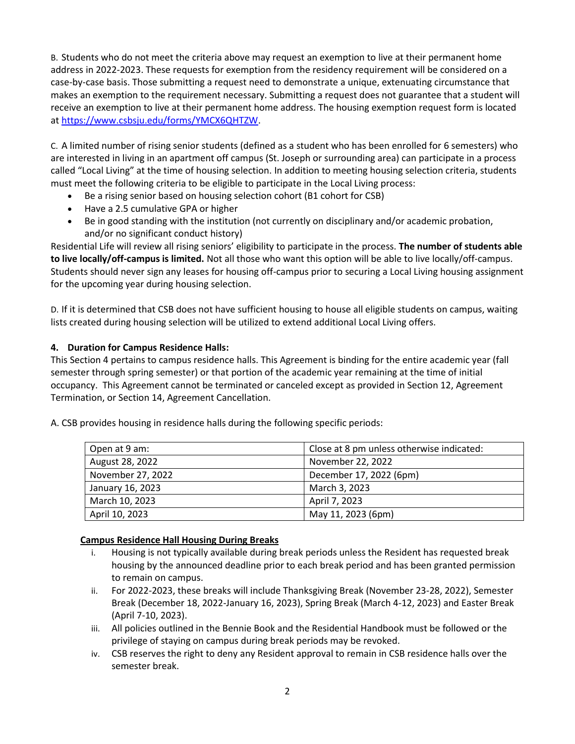B. Students who do not meet the criteria above may request an exemption to live at their permanent home address in 2022-2023. These requests for exemption from the residency requirement will be considered on a case-by-case basis. Those submitting a request need to demonstrate a unique, extenuating circumstance that makes an exemption to the requirement necessary. Submitting a request does not guarantee that a student will receive an exemption to live at their permanent home address. The housing exemption request form is located at [https://www.csbsju.edu/forms/YMCX6QHTZW.](https://www.csbsju.edu/forms/YMCX6QHTZW)

C. A limited number of rising senior students (defined as a student who has been enrolled for 6 semesters) who are interested in living in an apartment off campus (St. Joseph or surrounding area) can participate in a process called "Local Living" at the time of housing selection. In addition to meeting housing selection criteria, students must meet the following criteria to be eligible to participate in the Local Living process:

- Be a rising senior based on housing selection cohort (B1 cohort for CSB)
- Have a 2.5 cumulative GPA or higher
- Be in good standing with the institution (not currently on disciplinary and/or academic probation, and/or no significant conduct history)

Residential Life will review all rising seniors' eligibility to participate in the process. **The number of students able to live locally/off-campus is limited.** Not all those who want this option will be able to live locally/off-campus. Students should never sign any leases for housing off-campus prior to securing a Local Living housing assignment for the upcoming year during housing selection.

D. If it is determined that CSB does not have sufficient housing to house all eligible students on campus, waiting lists created during housing selection will be utilized to extend additional Local Living offers.

## **4. Duration for Campus Residence Halls:**

This Section 4 pertains to campus residence halls. This Agreement is binding for the entire academic year (fall semester through spring semester) or that portion of the academic year remaining at the time of initial occupancy. This Agreement cannot be terminated or canceled except as provided in Section 12, Agreement Termination, or Section 14, Agreement Cancellation.

|                   | Close at 8 pm unless otherwise indicated: |  |
|-------------------|-------------------------------------------|--|
| Open at 9 am:     |                                           |  |
| August 28, 2022   | November 22, 2022                         |  |
| November 27, 2022 | December 17, 2022 (6pm)                   |  |
| January 16, 2023  | March 3, 2023                             |  |
| March 10, 2023    | April 7, 2023                             |  |
| April 10, 2023    | May 11, 2023 (6pm)                        |  |

A. CSB provides housing in residence halls during the following specific periods:

### **Campus Residence Hall Housing During Breaks**

- i. Housing is not typically available during break periods unless the Resident has requested break housing by the announced deadline prior to each break period and has been granted permission to remain on campus.
- ii. For 2022-2023, these breaks will include Thanksgiving Break (November 23-28, 2022), Semester Break (December 18, 2022-January 16, 2023), Spring Break (March 4-12, 2023) and Easter Break (April 7-10, 2023).
- iii. All policies outlined in the Bennie Book and the Residential Handbook must be followed or the privilege of staying on campus during break periods may be revoked.
- iv. CSB reserves the right to deny any Resident approval to remain in CSB residence halls over the semester break.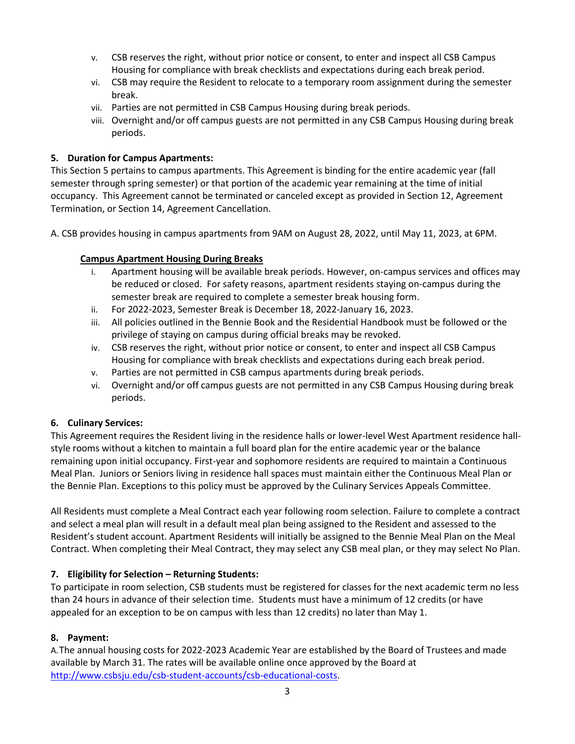- v. CSB reserves the right, without prior notice or consent, to enter and inspect all CSB Campus Housing for compliance with break checklists and expectations during each break period.
- vi. CSB may require the Resident to relocate to a temporary room assignment during the semester break.
- vii. Parties are not permitted in CSB Campus Housing during break periods.
- viii. Overnight and/or off campus guests are not permitted in any CSB Campus Housing during break periods.

# **5. Duration for Campus Apartments:**

This Section 5 pertains to campus apartments. This Agreement is binding for the entire academic year (fall semester through spring semester) or that portion of the academic year remaining at the time of initial occupancy. This Agreement cannot be terminated or canceled except as provided in Section 12, Agreement Termination, or Section 14, Agreement Cancellation.

A. CSB provides housing in campus apartments from 9AM on August 28, 2022, until May 11, 2023, at 6PM.

## **Campus Apartment Housing During Breaks**

- i. Apartment housing will be available break periods. However, on-campus services and offices may be reduced or closed. For safety reasons, apartment residents staying on-campus during the semester break are required to complete a semester break housing form.
- ii. For 2022-2023, Semester Break is December 18, 2022-January 16, 2023.
- iii. All policies outlined in the Bennie Book and the Residential Handbook must be followed or the privilege of staying on campus during official breaks may be revoked.
- iv. CSB reserves the right, without prior notice or consent, to enter and inspect all CSB Campus Housing for compliance with break checklists and expectations during each break period.
- v. Parties are not permitted in CSB campus apartments during break periods.
- vi. Overnight and/or off campus guests are not permitted in any CSB Campus Housing during break periods.

### **6. Culinary Services:**

This Agreement requires the Resident living in the residence halls or lower-level West Apartment residence hallstyle rooms without a kitchen to maintain a full board plan for the entire academic year or the balance remaining upon initial occupancy. First-year and sophomore residents are required to maintain a Continuous Meal Plan. Juniors or Seniors living in residence hall spaces must maintain either the Continuous Meal Plan or the Bennie Plan. Exceptions to this policy must be approved by the Culinary Services Appeals Committee.

All Residents must complete a Meal Contract each year following room selection. Failure to complete a contract and select a meal plan will result in a default meal plan being assigned to the Resident and assessed to the Resident's student account. Apartment Residents will initially be assigned to the Bennie Meal Plan on the Meal Contract. When completing their Meal Contract, they may select any CSB meal plan, or they may select No Plan.

# **7. Eligibility for Selection – Returning Students:**

To participate in room selection, CSB students must be registered for classes for the next academic term no less than 24 hours in advance of their selection time. Students must have a minimum of 12 credits (or have appealed for an exception to be on campus with less than 12 credits) no later than May 1.

# **8. Payment:**

A.The annual housing costs for 2022-2023 Academic Year are established by the Board of Trustees and made available by March 31. The rates will be available online once approved by the Board at [http://www.csbsju.edu/csb-student-accounts/csb-educational-costs.](http://www.csbsju.edu/csb-student-accounts/csb-educational-costs)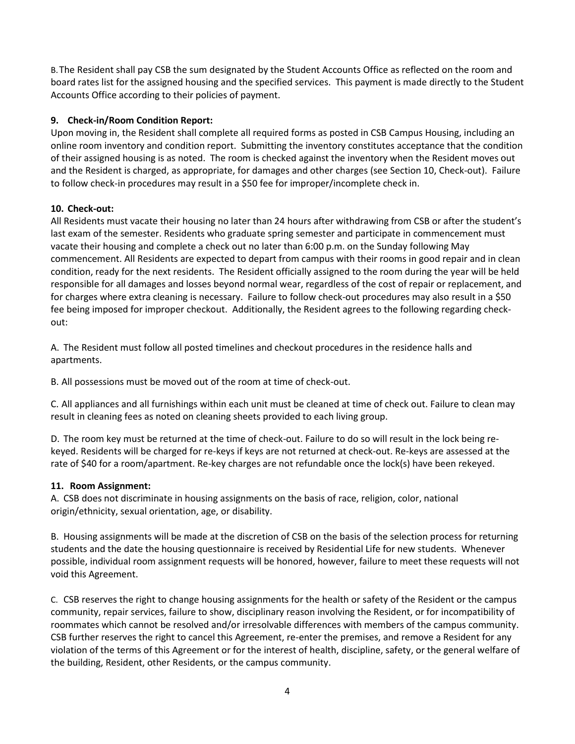B.The Resident shall pay CSB the sum designated by the Student Accounts Office as reflected on the room and board rates list for the assigned housing and the specified services. This payment is made directly to the Student Accounts Office according to their policies of payment.

## **9. Check-in/Room Condition Report:**

Upon moving in, the Resident shall complete all required forms as posted in CSB Campus Housing, including an online room inventory and condition report. Submitting the inventory constitutes acceptance that the condition of their assigned housing is as noted. The room is checked against the inventory when the Resident moves out and the Resident is charged, as appropriate, for damages and other charges (see Section 10, Check-out). Failure to follow check-in procedures may result in a \$50 fee for improper/incomplete check in.

## **10. Check-out:**

All Residents must vacate their housing no later than 24 hours after withdrawing from CSB or after the student's last exam of the semester. Residents who graduate spring semester and participate in commencement must vacate their housing and complete a check out no later than 6:00 p.m. on the Sunday following May commencement. All Residents are expected to depart from campus with their rooms in good repair and in clean condition, ready for the next residents. The Resident officially assigned to the room during the year will be held responsible for all damages and losses beyond normal wear, regardless of the cost of repair or replacement, and for charges where extra cleaning is necessary. Failure to follow check-out procedures may also result in a \$50 fee being imposed for improper checkout. Additionally, the Resident agrees to the following regarding checkout:

A. The Resident must follow all posted timelines and checkout procedures in the residence halls and apartments.

B. All possessions must be moved out of the room at time of check-out.

C. All appliances and all furnishings within each unit must be cleaned at time of check out. Failure to clean may result in cleaning fees as noted on cleaning sheets provided to each living group.

D. The room key must be returned at the time of check-out. Failure to do so will result in the lock being rekeyed. Residents will be charged for re-keys if keys are not returned at check-out. Re-keys are assessed at the rate of \$40 for a room/apartment. Re-key charges are not refundable once the lock(s) have been rekeyed.

### **11. Room Assignment:**

A. CSB does not discriminate in housing assignments on the basis of race, religion, color, national origin/ethnicity, sexual orientation, age, or disability.

B. Housing assignments will be made at the discretion of CSB on the basis of the selection process for returning students and the date the housing questionnaire is received by Residential Life for new students. Whenever possible, individual room assignment requests will be honored, however, failure to meet these requests will not void this Agreement.

C. CSB reserves the right to change housing assignments for the health or safety of the Resident or the campus community, repair services, failure to show, disciplinary reason involving the Resident, or for incompatibility of roommates which cannot be resolved and/or irresolvable differences with members of the campus community. CSB further reserves the right to cancel this Agreement, re-enter the premises, and remove a Resident for any violation of the terms of this Agreement or for the interest of health, discipline, safety, or the general welfare of the building, Resident, other Residents, or the campus community.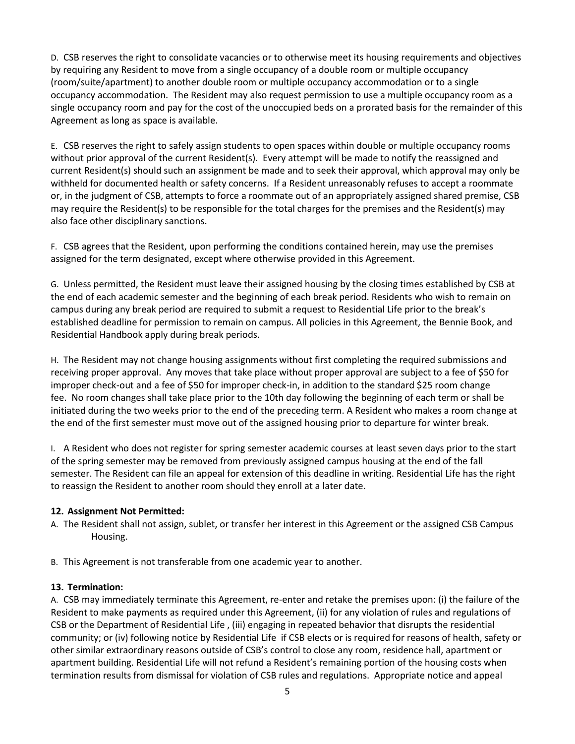D. CSB reserves the right to consolidate vacancies or to otherwise meet its housing requirements and objectives by requiring any Resident to move from a single occupancy of a double room or multiple occupancy (room/suite/apartment) to another double room or multiple occupancy accommodation or to a single occupancy accommodation. The Resident may also request permission to use a multiple occupancy room as a single occupancy room and pay for the cost of the unoccupied beds on a prorated basis for the remainder of this Agreement as long as space is available.

E. CSB reserves the right to safely assign students to open spaces within double or multiple occupancy rooms without prior approval of the current Resident(s). Every attempt will be made to notify the reassigned and current Resident(s) should such an assignment be made and to seek their approval, which approval may only be withheld for documented health or safety concerns. If a Resident unreasonably refuses to accept a roommate or, in the judgment of CSB, attempts to force a roommate out of an appropriately assigned shared premise, CSB may require the Resident(s) to be responsible for the total charges for the premises and the Resident(s) may also face other disciplinary sanctions.

F. CSB agrees that the Resident, upon performing the conditions contained herein, may use the premises assigned for the term designated, except where otherwise provided in this Agreement.

G. Unless permitted, the Resident must leave their assigned housing by the closing times established by CSB at the end of each academic semester and the beginning of each break period. Residents who wish to remain on campus during any break period are required to submit a request to Residential Life prior to the break's established deadline for permission to remain on campus. All policies in this Agreement, the Bennie Book, and Residential Handbook apply during break periods.

H. The Resident may not change housing assignments without first completing the required submissions and receiving proper approval. Any moves that take place without proper approval are subject to a fee of \$50 for improper check-out and a fee of \$50 for improper check-in, in addition to the standard \$25 room change fee. No room changes shall take place prior to the 10th day following the beginning of each term or shall be initiated during the two weeks prior to the end of the preceding term. A Resident who makes a room change at the end of the first semester must move out of the assigned housing prior to departure for winter break.

I. A Resident who does not register for spring semester academic courses at least seven days prior to the start of the spring semester may be removed from previously assigned campus housing at the end of the fall semester. The Resident can file an appeal for extension of this deadline in writing. Residential Life has the right to reassign the Resident to another room should they enroll at a later date.

# **12. Assignment Not Permitted:**

A. The Resident shall not assign, sublet, or transfer her interest in this Agreement or the assigned CSB Campus Housing.

B. This Agreement is not transferable from one academic year to another.

### **13. Termination:**

A. CSB may immediately terminate this Agreement, re-enter and retake the premises upon: (i) the failure of the Resident to make payments as required under this Agreement, (ii) for any violation of rules and regulations of CSB or the Department of Residential Life , (iii) engaging in repeated behavior that disrupts the residential community; or (iv) following notice by Residential Life if CSB elects or is required for reasons of health, safety or other similar extraordinary reasons outside of CSB's control to close any room, residence hall, apartment or apartment building. Residential Life will not refund a Resident's remaining portion of the housing costs when termination results from dismissal for violation of CSB rules and regulations. Appropriate notice and appeal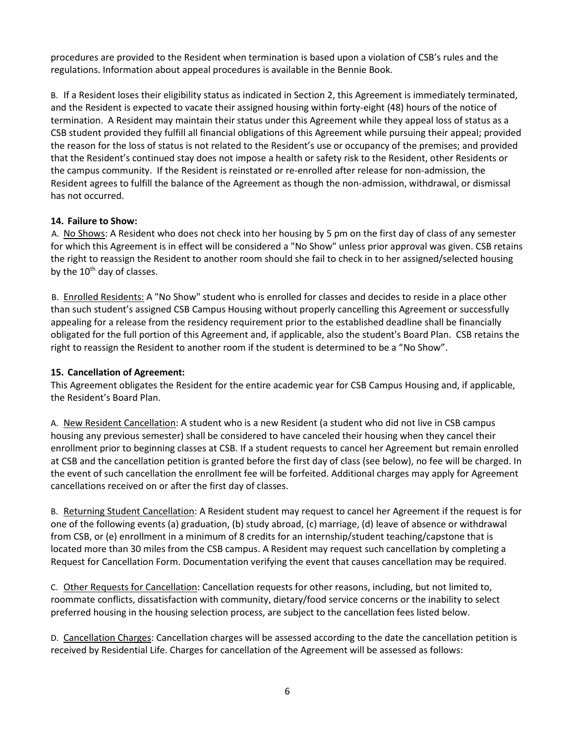procedures are provided to the Resident when termination is based upon a violation of CSB's rules and the regulations. Information about appeal procedures is available in the Bennie Book.

B. If a Resident loses their eligibility status as indicated in Section 2, this Agreement is immediately terminated, and the Resident is expected to vacate their assigned housing within forty-eight (48) hours of the notice of termination. A Resident may maintain their status under this Agreement while they appeal loss of status as a CSB student provided they fulfill all financial obligations of this Agreement while pursuing their appeal; provided the reason for the loss of status is not related to the Resident's use or occupancy of the premises; and provided that the Resident's continued stay does not impose a health or safety risk to the Resident, other Residents or the campus community. If the Resident is reinstated or re-enrolled after release for non-admission, the Resident agrees to fulfill the balance of the Agreement as though the non-admission, withdrawal, or dismissal has not occurred.

## **14. Failure to Show:**

A. No Shows: A Resident who does not check into her housing by 5 pm on the first day of class of any semester for which this Agreement is in effect will be considered a "No Show" unless prior approval was given. CSB retains the right to reassign the Resident to another room should she fail to check in to her assigned/selected housing by the  $10<sup>th</sup>$  day of classes.

B. Enrolled Residents: A "No Show" student who is enrolled for classes and decides to reside in a place other than such student's assigned CSB Campus Housing without properly cancelling this Agreement or successfully appealing for a release from the residency requirement prior to the established deadline shall be financially obligated for the full portion of this Agreement and, if applicable, also the student's Board Plan. CSB retains the right to reassign the Resident to another room if the student is determined to be a "No Show".

# **15. Cancellation of Agreement:**

This Agreement obligates the Resident for the entire academic year for CSB Campus Housing and, if applicable, the Resident's Board Plan.

A. New Resident Cancellation: A student who is a new Resident (a student who did not live in CSB campus housing any previous semester) shall be considered to have canceled their housing when they cancel their enrollment prior to beginning classes at CSB. If a student requests to cancel her Agreement but remain enrolled at CSB and the cancellation petition is granted before the first day of class (see below), no fee will be charged. In the event of such cancellation the enrollment fee will be forfeited. Additional charges may apply for Agreement cancellations received on or after the first day of classes.

B. Returning Student Cancellation: A Resident student may request to cancel her Agreement if the request is for one of the following events (a) graduation, (b) study abroad, (c) marriage, (d) leave of absence or withdrawal from CSB, or (e) enrollment in a minimum of 8 credits for an internship/student teaching/capstone that is located more than 30 miles from the CSB campus. A Resident may request such cancellation by completing a Request for Cancellation Form. Documentation verifying the event that causes cancellation may be required.

C. Other Requests for Cancellation: Cancellation requests for other reasons, including, but not limited to, roommate conflicts, dissatisfaction with community, dietary/food service concerns or the inability to select preferred housing in the housing selection process, are subject to the cancellation fees listed below.

D. Cancellation Charges: Cancellation charges will be assessed according to the date the cancellation petition is received by Residential Life. Charges for cancellation of the Agreement will be assessed as follows: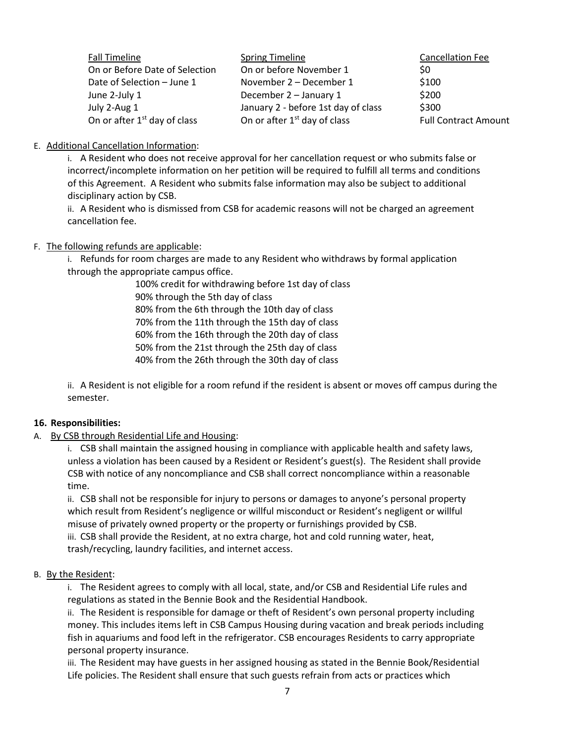| <b>Fall Timeline</b>                     | <b>Spring Timeline</b>                   | <b>Cancellation Fee</b>     |
|------------------------------------------|------------------------------------------|-----------------------------|
| On or Before Date of Selection           | On or before November 1                  | \$0                         |
| Date of Selection - June 1               | November 2 – December 1                  | \$100                       |
| June 2-July 1                            | December 2 - January 1                   | \$200                       |
| July 2-Aug 1                             | January 2 - before 1st day of class      | \$300                       |
| On or after 1 <sup>st</sup> day of class | On or after 1 <sup>st</sup> day of class | <b>Full Contract Amount</b> |

E. Additional Cancellation Information:

i. A Resident who does not receive approval for her cancellation request or who submits false or incorrect/incomplete information on her petition will be required to fulfill all terms and conditions of this Agreement. A Resident who submits false information may also be subject to additional disciplinary action by CSB.

ii. A Resident who is dismissed from CSB for academic reasons will not be charged an agreement cancellation fee.

### F. The following refunds are applicable:

i. Refunds for room charges are made to any Resident who withdraws by formal application through the appropriate campus office.

100% credit for withdrawing before 1st day of class 90% through the 5th day of class 80% from the 6th through the 10th day of class 70% from the 11th through the 15th day of class 60% from the 16th through the 20th day of class 50% from the 21st through the 25th day of class 40% from the 26th through the 30th day of class

ii. A Resident is not eligible for a room refund if the resident is absent or moves off campus during the semester.

### **16. Responsibilities:**

### A. By CSB through Residential Life and Housing:

i. CSB shall maintain the assigned housing in compliance with applicable health and safety laws, unless a violation has been caused by a Resident or Resident's guest(s). The Resident shall provide CSB with notice of any noncompliance and CSB shall correct noncompliance within a reasonable time.

ii. CSB shall not be responsible for injury to persons or damages to anyone's personal property which result from Resident's negligence or willful misconduct or Resident's negligent or willful misuse of privately owned property or the property or furnishings provided by CSB.

iii. CSB shall provide the Resident, at no extra charge, hot and cold running water, heat, trash/recycling, laundry facilities, and internet access.

### B. By the Resident:

i. The Resident agrees to comply with all local, state, and/or CSB and Residential Life rules and regulations as stated in the Bennie Book and the Residential Handbook.

ii. The Resident is responsible for damage or theft of Resident's own personal property including money. This includes items left in CSB Campus Housing during vacation and break periods including fish in aquariums and food left in the refrigerator. CSB encourages Residents to carry appropriate personal property insurance.

iii. The Resident may have guests in her assigned housing as stated in the Bennie Book/Residential Life policies. The Resident shall ensure that such guests refrain from acts or practices which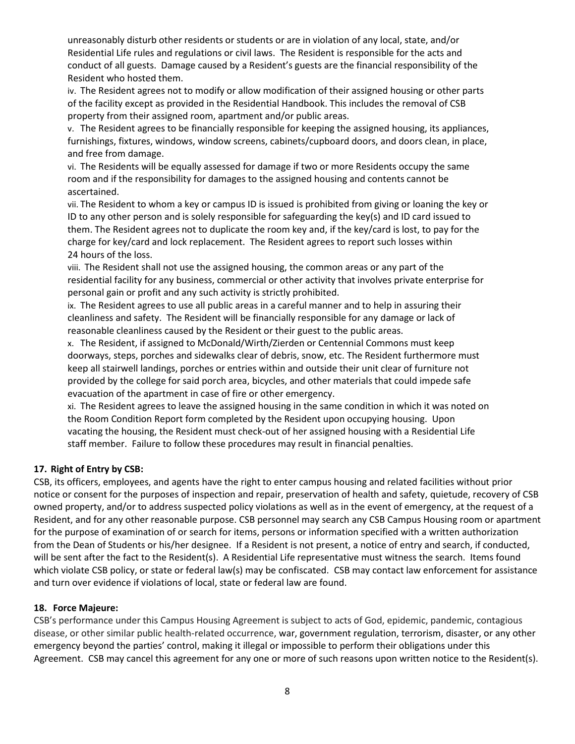unreasonably disturb other residents or students or are in violation of any local, state, and/or Residential Life rules and regulations or civil laws. The Resident is responsible for the acts and conduct of all guests. Damage caused by a Resident's guests are the financial responsibility of the Resident who hosted them.

iv. The Resident agrees not to modify or allow modification of their assigned housing or other parts of the facility except as provided in the Residential Handbook. This includes the removal of CSB property from their assigned room, apartment and/or public areas.

v. The Resident agrees to be financially responsible for keeping the assigned housing, its appliances, furnishings, fixtures, windows, window screens, cabinets/cupboard doors, and doors clean, in place, and free from damage.

vi. The Residents will be equally assessed for damage if two or more Residents occupy the same room and if the responsibility for damages to the assigned housing and contents cannot be ascertained.

vii. The Resident to whom a key or campus ID is issued is prohibited from giving or loaning the key or ID to any other person and is solely responsible for safeguarding the key(s) and ID card issued to them. The Resident agrees not to duplicate the room key and, if the key/card is lost, to pay for the charge for key/card and lock replacement. The Resident agrees to report such losses within 24 hours of the loss.

viii. The Resident shall not use the assigned housing, the common areas or any part of the residential facility for any business, commercial or other activity that involves private enterprise for personal gain or profit and any such activity is strictly prohibited.

ix. The Resident agrees to use all public areas in a careful manner and to help in assuring their cleanliness and safety. The Resident will be financially responsible for any damage or lack of reasonable cleanliness caused by the Resident or their guest to the public areas.

x. The Resident, if assigned to McDonald/Wirth/Zierden or Centennial Commons must keep doorways, steps, porches and sidewalks clear of debris, snow, etc. The Resident furthermore must keep all stairwell landings, porches or entries within and outside their unit clear of furniture not provided by the college for said porch area, bicycles, and other materials that could impede safe evacuation of the apartment in case of fire or other emergency.

xi. The Resident agrees to leave the assigned housing in the same condition in which it was noted on the Room Condition Report form completed by the Resident upon occupying housing. Upon vacating the housing, the Resident must check-out of her assigned housing with a Residential Life staff member. Failure to follow these procedures may result in financial penalties.

# **17. Right of Entry by CSB:**

CSB, its officers, employees, and agents have the right to enter campus housing and related facilities without prior notice or consent for the purposes of inspection and repair, preservation of health and safety, quietude, recovery of CSB owned property, and/or to address suspected policy violations as well as in the event of emergency, at the request of a Resident, and for any other reasonable purpose. CSB personnel may search any CSB Campus Housing room or apartment for the purpose of examination of or search for items, persons or information specified with a written authorization from the Dean of Students or his/her designee. If a Resident is not present, a notice of entry and search, if conducted, will be sent after the fact to the Resident(s). A Residential Life representative must witness the search. Items found which violate CSB policy, or state or federal law(s) may be confiscated. CSB may contact law enforcement for assistance and turn over evidence if violations of local, state or federal law are found.

### **18. Force Majeure:**

CSB's performance under this Campus Housing Agreement is subject to acts of God, epidemic, pandemic, contagious disease, or other similar public health-related occurrence, war, government regulation, terrorism, disaster, or any other emergency beyond the parties' control, making it illegal or impossible to perform their obligations under this Agreement. CSB may cancel this agreement for any one or more of such reasons upon written notice to the Resident(s).